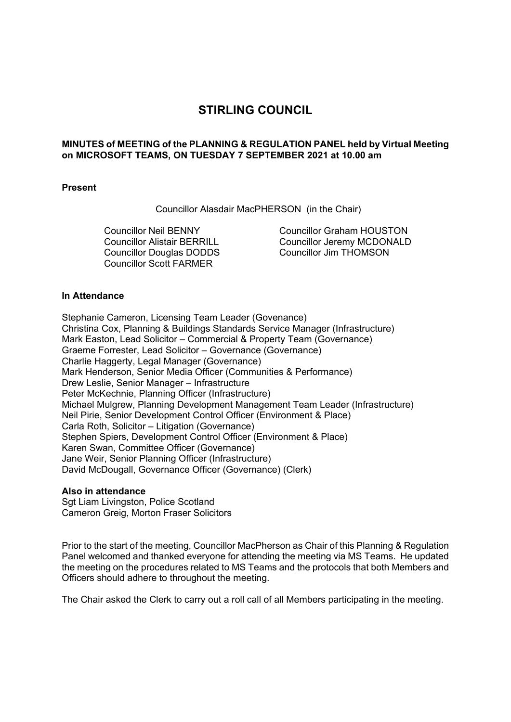# **STIRLING COUNCIL**

### **MINUTES of MEETING of the PLANNING & REGULATION PANEL held by Virtual Meeting on MICROSOFT TEAMS, ON TUESDAY 7 SEPTEMBER 2021 at 10.00 am**

#### **Present**

Councillor Alasdair MacPHERSON (in the Chair)

Councillor Neil BENNY Councillor Alistair BERRILL Councillor Douglas DODDS Councillor Scott FARMER

Councillor Graham HOUSTON Councillor Jeremy MCDONALD Councillor Jim THOMSON

### **In Attendance**

Stephanie Cameron, Licensing Team Leader (Govenance) Christina Cox, Planning & Buildings Standards Service Manager (Infrastructure) Mark Easton, Lead Solicitor – Commercial & Property Team (Governance) Graeme Forrester, Lead Solicitor – Governance (Governance) Charlie Haggerty, Legal Manager (Governance) Mark Henderson, Senior Media Officer (Communities & Performance) Drew Leslie, Senior Manager – Infrastructure Peter McKechnie, Planning Officer (Infrastructure) Michael Mulgrew, Planning Development Management Team Leader (Infrastructure) Neil Pirie, Senior Development Control Officer (Environment & Place) Carla Roth, Solicitor – Litigation (Governance) Stephen Spiers, Development Control Officer (Environment & Place) Karen Swan, Committee Officer (Governance) Jane Weir, Senior Planning Officer (Infrastructure) David McDougall, Governance Officer (Governance) (Clerk)

#### **Also in attendance**

Sgt Liam Livingston, Police Scotland Cameron Greig, Morton Fraser Solicitors

Prior to the start of the meeting, Councillor MacPherson as Chair of this Planning & Regulation Panel welcomed and thanked everyone for attending the meeting via MS Teams. He updated the meeting on the procedures related to MS Teams and the protocols that both Members and Officers should adhere to throughout the meeting.

The Chair asked the Clerk to carry out a roll call of all Members participating in the meeting.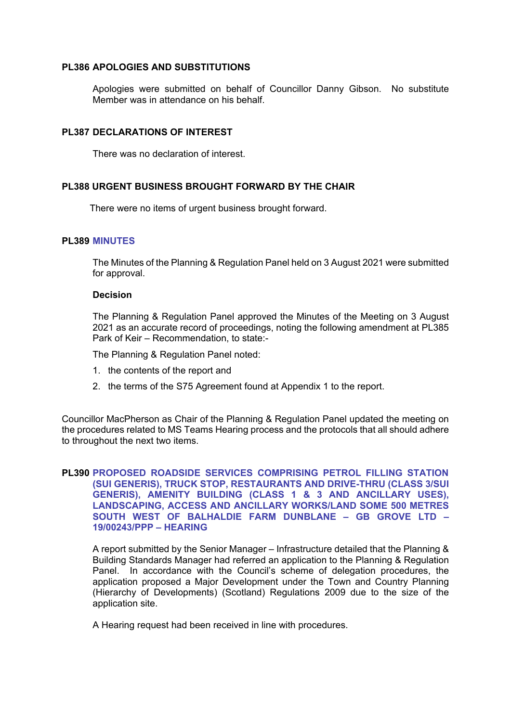#### **PL386 APOLOGIES AND SUBSTITUTIONS**

Apologies were submitted on behalf of Councillor Danny Gibson. No substitute Member was in attendance on his behalf.

### **PL387 DECLARATIONS OF INTEREST**

There was no declaration of interest.

## **PL388 URGENT BUSINESS BROUGHT FORWARD BY THE CHAIR**

There were no items of urgent business brought forward.

#### **PL389 MINUTES**

The Minutes of the Planning & Regulation Panel held on 3 August 2021 were submitted for approval.

#### **Decision**

The Planning & Regulation Panel approved the Minutes of the Meeting on 3 August 2021 as an accurate record of proceedings, noting the following amendment at PL385 Park of Keir – Recommendation, to state:-

The Planning & Regulation Panel noted:

- 1. the contents of the report and
- 2. the terms of the S75 Agreement found at Appendix 1 to the report.

Councillor MacPherson as Chair of the Planning & Regulation Panel updated the meeting on the procedures related to MS Teams Hearing process and the protocols that all should adhere to throughout the next two items.

### **PL390 PROPOSED ROADSIDE SERVICES COMPRISING PETROL FILLING STATION (SUI GENERIS), TRUCK STOP, RESTAURANTS AND DRIVE-THRU (CLASS 3/SUI GENERIS), AMENITY BUILDING (CLASS 1 & 3 AND ANCILLARY USES), LANDSCAPING, ACCESS AND ANCILLARY WORKS/LAND SOME 500 METRES SOUTH WEST OF BALHALDIE FARM DUNBLANE – GB GROVE LTD – 19/00243/PPP – HEARING**

A report submitted by the Senior Manager – Infrastructure detailed that the Planning & Building Standards Manager had referred an application to the Planning & Regulation Panel. In accordance with the Council's scheme of delegation procedures, the application proposed a Major Development under the Town and Country Planning (Hierarchy of Developments) (Scotland) Regulations 2009 due to the size of the application site.

A Hearing request had been received in line with procedures.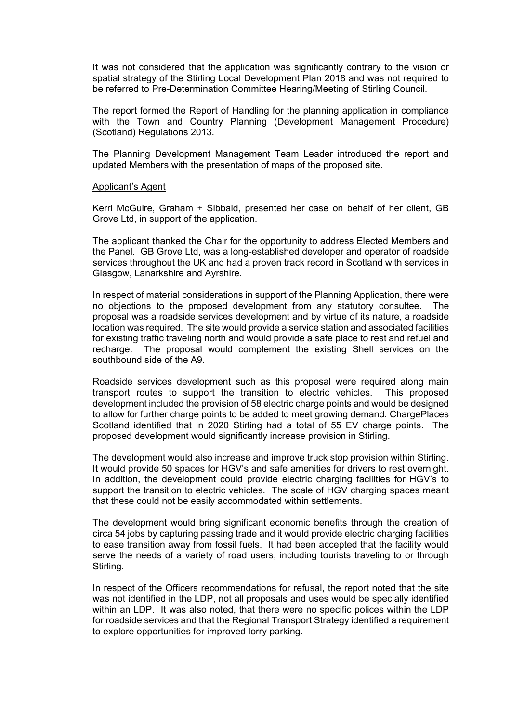It was not considered that the application was significantly contrary to the vision or spatial strategy of the Stirling Local Development Plan 2018 and was not required to be referred to Pre-Determination Committee Hearing/Meeting of Stirling Council.

The report formed the Report of Handling for the planning application in compliance with the Town and Country Planning (Development Management Procedure) (Scotland) Regulations 2013.

The Planning Development Management Team Leader introduced the report and updated Members with the presentation of maps of the proposed site.

#### Applicant's Agent

Kerri McGuire, Graham + Sibbald, presented her case on behalf of her client, GB Grove Ltd, in support of the application.

The applicant thanked the Chair for the opportunity to address Elected Members and the Panel. GB Grove Ltd, was a long-established developer and operator of roadside services throughout the UK and had a proven track record in Scotland with services in Glasgow, Lanarkshire and Ayrshire.

In respect of material considerations in support of the Planning Application, there were no objections to the proposed development from any statutory consultee. The proposal was a roadside services development and by virtue of its nature, a roadside location was required. The site would provide a service station and associated facilities for existing traffic traveling north and would provide a safe place to rest and refuel and recharge. The proposal would complement the existing Shell services on the southbound side of the A9.

Roadside services development such as this proposal were required along main transport routes to support the transition to electric vehicles. This proposed development included the provision of 58 electric charge points and would be designed to allow for further charge points to be added to meet growing demand. ChargePlaces Scotland identified that in 2020 Stirling had a total of 55 EV charge points. The proposed development would significantly increase provision in Stirling.

The development would also increase and improve truck stop provision within Stirling. It would provide 50 spaces for HGV's and safe amenities for drivers to rest overnight. In addition, the development could provide electric charging facilities for HGV's to support the transition to electric vehicles. The scale of HGV charging spaces meant that these could not be easily accommodated within settlements.

The development would bring significant economic benefits through the creation of circa 54 jobs by capturing passing trade and it would provide electric charging facilities to ease transition away from fossil fuels. It had been accepted that the facility would serve the needs of a variety of road users, including tourists traveling to or through Stirling.

In respect of the Officers recommendations for refusal, the report noted that the site was not identified in the LDP, not all proposals and uses would be specially identified within an LDP. It was also noted, that there were no specific polices within the LDP for roadside services and that the Regional Transport Strategy identified a requirement to explore opportunities for improved lorry parking.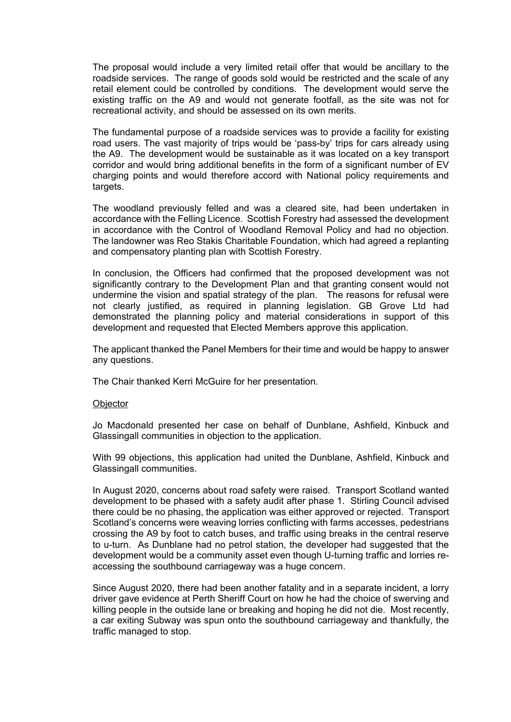The proposal would include a very limited retail offer that would be ancillary to the roadside services. The range of goods sold would be restricted and the scale of any retail element could be controlled by conditions. The development would serve the existing traffic on the A9 and would not generate footfall, as the site was not for recreational activity, and should be assessed on its own merits.

The fundamental purpose of a roadside services was to provide a facility for existing road users. The vast majority of trips would be 'pass-by' trips for cars already using the A9. The development would be sustainable as it was located on a key transport corridor and would bring additional benefits in the form of a significant number of EV charging points and would therefore accord with National policy requirements and targets.

The woodland previously felled and was a cleared site, had been undertaken in accordance with the Felling Licence. Scottish Forestry had assessed the development in accordance with the Control of Woodland Removal Policy and had no objection. The landowner was Reo Stakis Charitable Foundation, which had agreed a replanting and compensatory planting plan with Scottish Forestry.

In conclusion, the Officers had confirmed that the proposed development was not significantly contrary to the Development Plan and that granting consent would not undermine the vision and spatial strategy of the plan. The reasons for refusal were not clearly justified, as required in planning legislation. GB Grove Ltd had demonstrated the planning policy and material considerations in support of this development and requested that Elected Members approve this application.

The applicant thanked the Panel Members for their time and would be happy to answer any questions.

The Chair thanked Kerri McGuire for her presentation.

#### **Objector**

Jo Macdonald presented her case on behalf of Dunblane, Ashfield, Kinbuck and Glassingall communities in objection to the application.

With 99 objections, this application had united the Dunblane, Ashfield, Kinbuck and Glassingall communities.

In August 2020, concerns about road safety were raised. Transport Scotland wanted development to be phased with a safety audit after phase 1. Stirling Council advised there could be no phasing, the application was either approved or rejected. Transport Scotland's concerns were weaving lorries conflicting with farms accesses, pedestrians crossing the A9 by foot to catch buses, and traffic using breaks in the central reserve to u-turn. As Dunblane had no petrol station, the developer had suggested that the development would be a community asset even though U-turning traffic and lorries reaccessing the southbound carriageway was a huge concern.

Since August 2020, there had been another fatality and in a separate incident, a lorry driver gave evidence at Perth Sheriff Court on how he had the choice of swerving and killing people in the outside lane or breaking and hoping he did not die. Most recently, a car exiting Subway was spun onto the southbound carriageway and thankfully, the traffic managed to stop.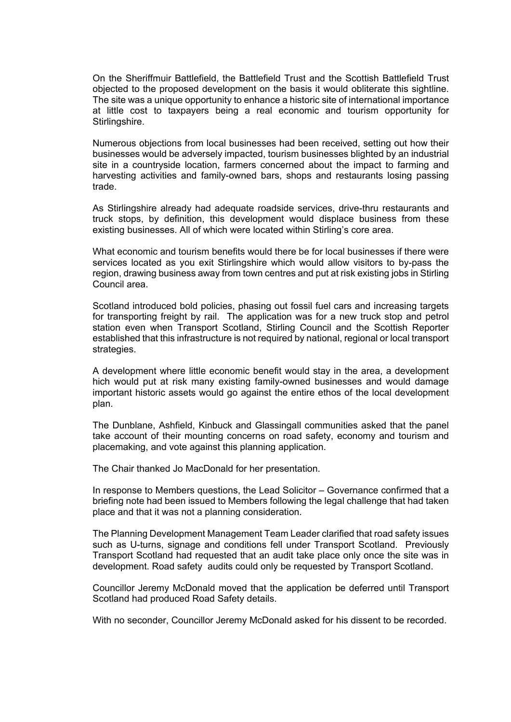On the Sheriffmuir Battlefield, the Battlefield Trust and the Scottish Battlefield Trust objected to the proposed development on the basis it would obliterate this sightline. The site was a unique opportunity to enhance a historic site of international importance at little cost to taxpayers being a real economic and tourism opportunity for Stirlingshire.

Numerous objections from local businesses had been received, setting out how their businesses would be adversely impacted, tourism businesses blighted by an industrial site in a countryside location, farmers concerned about the impact to farming and harvesting activities and family-owned bars, shops and restaurants losing passing trade.

As Stirlingshire already had adequate roadside services, drive-thru restaurants and truck stops, by definition, this development would displace business from these existing businesses. All of which were located within Stirling's core area.

What economic and tourism benefits would there be for local businesses if there were services located as you exit Stirlingshire which would allow visitors to by-pass the region, drawing business away from town centres and put at risk existing jobs in Stirling Council area.

Scotland introduced bold policies, phasing out fossil fuel cars and increasing targets for transporting freight by rail. The application was for a new truck stop and petrol station even when Transport Scotland, Stirling Council and the Scottish Reporter established that this infrastructure is not required by national, regional or local transport strategies.

A development where little economic benefit would stay in the area, a development hich would put at risk many existing family-owned businesses and would damage important historic assets would go against the entire ethos of the local development plan.

The Dunblane, Ashfield, Kinbuck and Glassingall communities asked that the panel take account of their mounting concerns on road safety, economy and tourism and placemaking, and vote against this planning application.

The Chair thanked Jo MacDonald for her presentation.

In response to Members questions, the Lead Solicitor – Governance confirmed that a briefing note had been issued to Members following the legal challenge that had taken place and that it was not a planning consideration.

The Planning Development Management Team Leader clarified that road safety issues such as U-turns, signage and conditions fell under Transport Scotland. Previously Transport Scotland had requested that an audit take place only once the site was in development. Road safety audits could only be requested by Transport Scotland.

Councillor Jeremy McDonald moved that the application be deferred until Transport Scotland had produced Road Safety details.

With no seconder, Councillor Jeremy McDonald asked for his dissent to be recorded.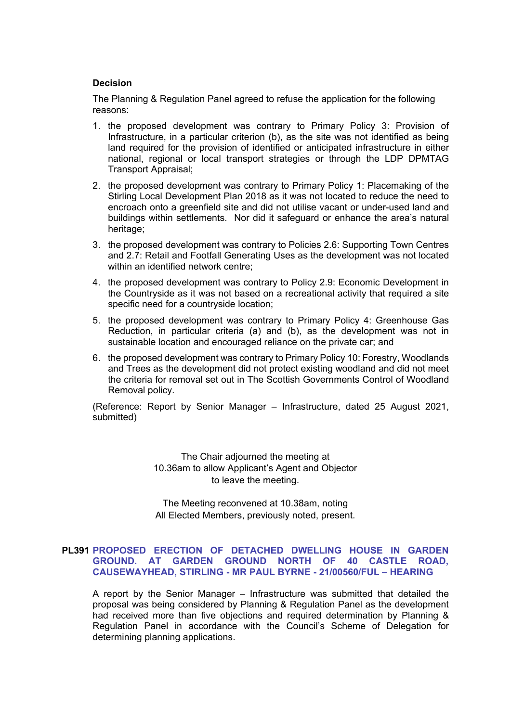### **Decision**

The Planning & Regulation Panel agreed to refuse the application for the following reasons:

- 1. the proposed development was contrary to Primary Policy 3: Provision of Infrastructure, in a particular criterion (b), as the site was not identified as being land required for the provision of identified or anticipated infrastructure in either national, regional or local transport strategies or through the LDP DPMTAG Transport Appraisal;
- 2. the proposed development was contrary to Primary Policy 1: Placemaking of the Stirling Local Development Plan 2018 as it was not located to reduce the need to encroach onto a greenfield site and did not utilise vacant or under-used land and buildings within settlements. Nor did it safeguard or enhance the area's natural heritage;
- 3. the proposed development was contrary to Policies 2.6: Supporting Town Centres and 2.7: Retail and Footfall Generating Uses as the development was not located within an identified network centre;
- 4. the proposed development was contrary to Policy 2.9: Economic Development in the Countryside as it was not based on a recreational activity that required a site specific need for a countryside location;
- 5. the proposed development was contrary to Primary Policy 4: Greenhouse Gas Reduction, in particular criteria (a) and (b), as the development was not in sustainable location and encouraged reliance on the private car; and
- 6. the proposed development was contrary to Primary Policy 10: Forestry, Woodlands and Trees as the development did not protect existing woodland and did not meet the criteria for removal set out in The Scottish Governments Control of Woodland Removal policy.

(Reference: Report by Senior Manager – Infrastructure, dated 25 August 2021, submitted)

> The Chair adjourned the meeting at 10.36am to allow Applicant's Agent and Objector to leave the meeting.

> The Meeting reconvened at 10.38am, noting All Elected Members, previously noted, present.

### **PL391 PROPOSED ERECTION OF DETACHED DWELLING HOUSE IN GARDEN GROUND. AT GARDEN GROUND NORTH OF 40 CASTLE ROAD, CAUSEWAYHEAD, STIRLING - MR PAUL BYRNE - 21/00560/FUL – HEARING**

A report by the Senior Manager – Infrastructure was submitted that detailed the proposal was being considered by Planning & Regulation Panel as the development had received more than five objections and required determination by Planning & Regulation Panel in accordance with the Council's Scheme of Delegation for determining planning applications.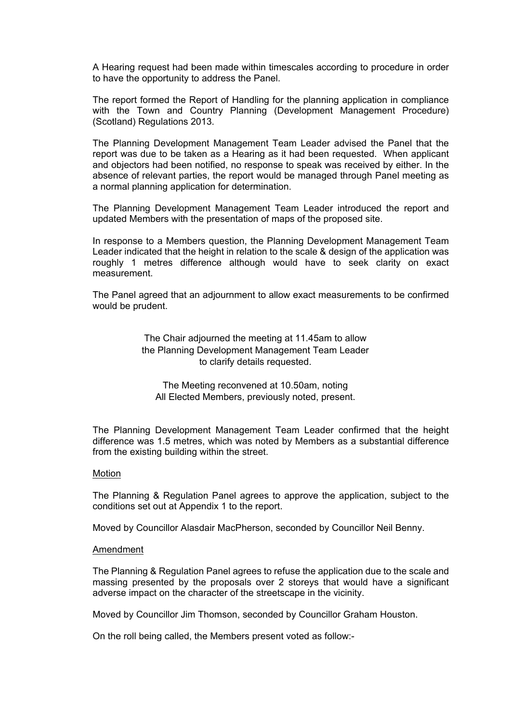A Hearing request had been made within timescales according to procedure in order to have the opportunity to address the Panel.

The report formed the Report of Handling for the planning application in compliance with the Town and Country Planning (Development Management Procedure) (Scotland) Regulations 2013.

The Planning Development Management Team Leader advised the Panel that the report was due to be taken as a Hearing as it had been requested. When applicant and objectors had been notified, no response to speak was received by either. In the absence of relevant parties, the report would be managed through Panel meeting as a normal planning application for determination.

The Planning Development Management Team Leader introduced the report and updated Members with the presentation of maps of the proposed site.

In response to a Members question, the Planning Development Management Team Leader indicated that the height in relation to the scale & design of the application was roughly 1 metres difference although would have to seek clarity on exact measurement.

The Panel agreed that an adjournment to allow exact measurements to be confirmed would be prudent.

> The Chair adjourned the meeting at 11.45am to allow the Planning Development Management Team Leader to clarify details requested.

The Meeting reconvened at 10.50am, noting All Elected Members, previously noted, present.

The Planning Development Management Team Leader confirmed that the height difference was 1.5 metres, which was noted by Members as a substantial difference from the existing building within the street.

#### Motion

The Planning & Regulation Panel agrees to approve the application, subject to the conditions set out at Appendix 1 to the report.

Moved by Councillor Alasdair MacPherson, seconded by Councillor Neil Benny.

#### Amendment

The Planning & Regulation Panel agrees to refuse the application due to the scale and massing presented by the proposals over 2 storeys that would have a significant adverse impact on the character of the streetscape in the vicinity.

Moved by Councillor Jim Thomson, seconded by Councillor Graham Houston.

On the roll being called, the Members present voted as follow:-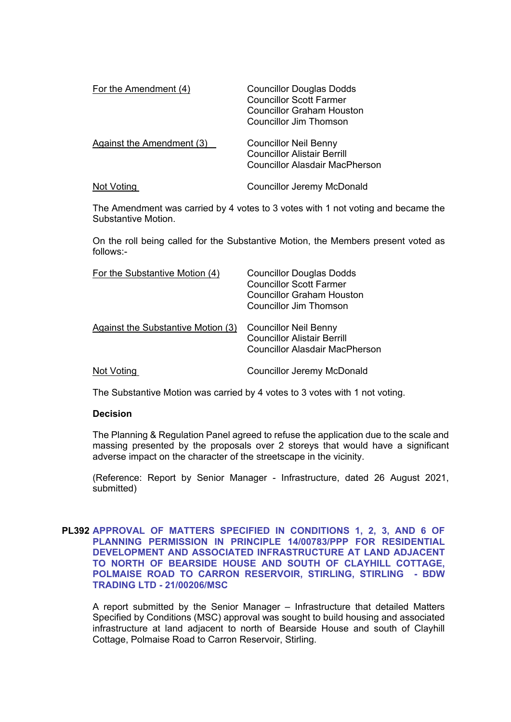| For the Amendment (4)     | <b>Councillor Douglas Dodds</b><br><b>Councillor Scott Farmer</b><br>Councillor Graham Houston<br>Councillor Jim Thomson |
|---------------------------|--------------------------------------------------------------------------------------------------------------------------|
| Against the Amendment (3) | <b>Councillor Neil Benny</b><br><b>Councillor Alistair Berrill</b><br>Councillor Alasdair MacPherson                     |
| Not Voting                | <b>Councillor Jeremy McDonald</b>                                                                                        |

The Amendment was carried by 4 votes to 3 votes with 1 not voting and became the Substantive Motion.

On the roll being called for the Substantive Motion, the Members present voted as follows:-

| For the Substantive Motion (4)     | <b>Councillor Douglas Dodds</b><br><b>Councillor Scott Farmer</b><br>Councillor Graham Houston<br>Councillor Jim Thomson |
|------------------------------------|--------------------------------------------------------------------------------------------------------------------------|
| Against the Substantive Motion (3) | <b>Councillor Neil Benny</b><br><b>Councillor Alistair Berrill</b><br>Councillor Alasdair MacPherson                     |
| Not Voting                         | <b>Councillor Jeremy McDonald</b>                                                                                        |

The Substantive Motion was carried by 4 votes to 3 votes with 1 not voting.

#### **Decision**

The Planning & Regulation Panel agreed to refuse the application due to the scale and massing presented by the proposals over 2 storeys that would have a significant adverse impact on the character of the streetscape in the vicinity.

(Reference: Report by Senior Manager - Infrastructure, dated 26 August 2021, submitted)

### **PL392 APPROVAL OF MATTERS SPECIFIED IN CONDITIONS 1, 2, 3, AND 6 OF PLANNING PERMISSION IN PRINCIPLE 14/00783/PPP FOR RESIDENTIAL DEVELOPMENT AND ASSOCIATED INFRASTRUCTURE AT LAND ADJACENT TO NORTH OF BEARSIDE HOUSE AND SOUTH OF CLAYHILL COTTAGE, POLMAISE ROAD TO CARRON RESERVOIR, STIRLING, STIRLING - BDW TRADING LTD - 21/00206/MSC**

A report submitted by the Senior Manager – Infrastructure that detailed Matters Specified by Conditions (MSC) approval was sought to build housing and associated infrastructure at land adjacent to north of Bearside House and south of Clayhill Cottage, Polmaise Road to Carron Reservoir, Stirling.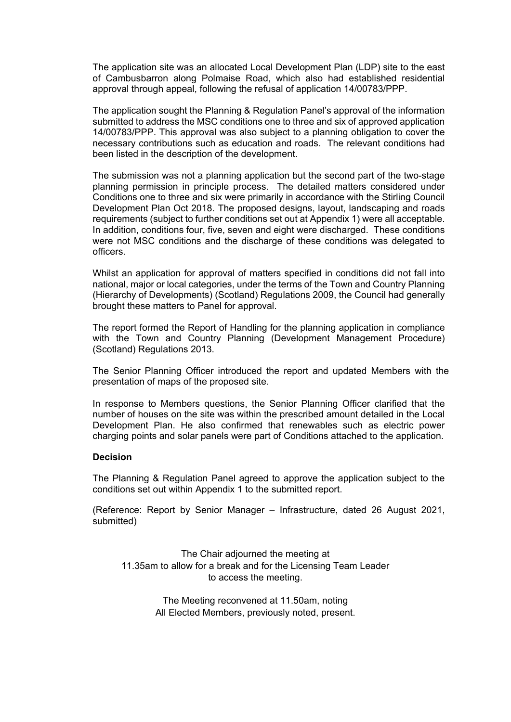The application site was an allocated Local Development Plan (LDP) site to the east of Cambusbarron along Polmaise Road, which also had established residential approval through appeal, following the refusal of application 14/00783/PPP.

The application sought the Planning & Regulation Panel's approval of the information submitted to address the MSC conditions one to three and six of approved application 14/00783/PPP. This approval was also subject to a planning obligation to cover the necessary contributions such as education and roads. The relevant conditions had been listed in the description of the development.

The submission was not a planning application but the second part of the two-stage planning permission in principle process. The detailed matters considered under Conditions one to three and six were primarily in accordance with the Stirling Council Development Plan Oct 2018. The proposed designs, layout, landscaping and roads requirements (subject to further conditions set out at Appendix 1) were all acceptable. In addition, conditions four, five, seven and eight were discharged. These conditions were not MSC conditions and the discharge of these conditions was delegated to officers.

Whilst an application for approval of matters specified in conditions did not fall into national, major or local categories, under the terms of the Town and Country Planning (Hierarchy of Developments) (Scotland) Regulations 2009, the Council had generally brought these matters to Panel for approval.

The report formed the Report of Handling for the planning application in compliance with the Town and Country Planning (Development Management Procedure) (Scotland) Regulations 2013.

The Senior Planning Officer introduced the report and updated Members with the presentation of maps of the proposed site.

In response to Members questions, the Senior Planning Officer clarified that the number of houses on the site was within the prescribed amount detailed in the Local Development Plan. He also confirmed that renewables such as electric power charging points and solar panels were part of Conditions attached to the application.

#### **Decision**

The Planning & Regulation Panel agreed to approve the application subject to the conditions set out within Appendix 1 to the submitted report.

(Reference: Report by Senior Manager – Infrastructure, dated 26 August 2021, submitted)

The Chair adjourned the meeting at 11.35am to allow for a break and for the Licensing Team Leader to access the meeting.

> The Meeting reconvened at 11.50am, noting All Elected Members, previously noted, present.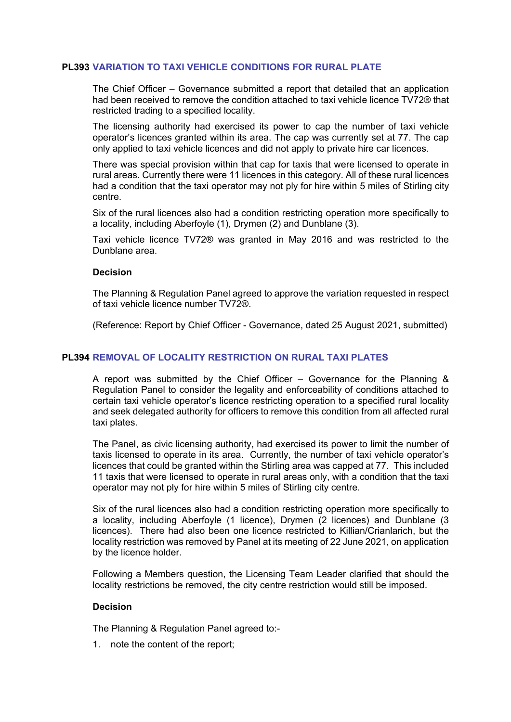### **PL393 VARIATION TO TAXI VEHICLE CONDITIONS FOR RURAL PLATE**

The Chief Officer – Governance submitted a report that detailed that an application had been received to remove the condition attached to taxi vehicle licence TV72® that restricted trading to a specified locality.

The licensing authority had exercised its power to cap the number of taxi vehicle operator's licences granted within its area. The cap was currently set at 77. The cap only applied to taxi vehicle licences and did not apply to private hire car licences.

There was special provision within that cap for taxis that were licensed to operate in rural areas. Currently there were 11 licences in this category. All of these rural licences had a condition that the taxi operator may not ply for hire within 5 miles of Stirling city centre.

Six of the rural licences also had a condition restricting operation more specifically to a locality, including Aberfoyle (1), Drymen (2) and Dunblane (3).

Taxi vehicle licence TV72® was granted in May 2016 and was restricted to the Dunblane area.

#### **Decision**

The Planning & Regulation Panel agreed to approve the variation requested in respect of taxi vehicle licence number TV72®.

(Reference: Report by Chief Officer - Governance, dated 25 August 2021, submitted)

#### **PL394 REMOVAL OF LOCALITY RESTRICTION ON RURAL TAXI PLATES**

A report was submitted by the Chief Officer – Governance for the Planning & Regulation Panel to consider the legality and enforceability of conditions attached to certain taxi vehicle operator's licence restricting operation to a specified rural locality and seek delegated authority for officers to remove this condition from all affected rural taxi plates.

The Panel, as civic licensing authority, had exercised its power to limit the number of taxis licensed to operate in its area. Currently, the number of taxi vehicle operator's licences that could be granted within the Stirling area was capped at 77. This included 11 taxis that were licensed to operate in rural areas only, with a condition that the taxi operator may not ply for hire within 5 miles of Stirling city centre.

Six of the rural licences also had a condition restricting operation more specifically to a locality, including Aberfoyle (1 licence), Drymen (2 licences) and Dunblane (3 licences). There had also been one licence restricted to Killian/Crianlarich, but the locality restriction was removed by Panel at its meeting of 22 June 2021, on application by the licence holder.

Following a Members question, the Licensing Team Leader clarified that should the locality restrictions be removed, the city centre restriction would still be imposed.

#### **Decision**

The Planning & Regulation Panel agreed to:-

1. note the content of the report;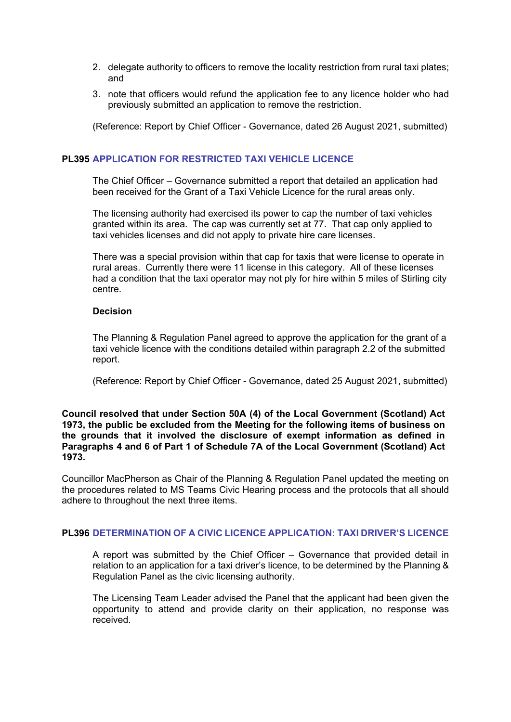- 2. delegate authority to officers to remove the locality restriction from rural taxi plates; and
- 3. note that officers would refund the application fee to any licence holder who had previously submitted an application to remove the restriction.

(Reference: Report by Chief Officer - Governance, dated 26 August 2021, submitted)

# **PL395 APPLICATION FOR RESTRICTED TAXI VEHICLE LICENCE**

The Chief Officer – Governance submitted a report that detailed an application had been received for the Grant of a Taxi Vehicle Licence for the rural areas only.

The licensing authority had exercised its power to cap the number of taxi vehicles granted within its area. The cap was currently set at 77. That cap only applied to taxi vehicles licenses and did not apply to private hire care licenses.

There was a special provision within that cap for taxis that were license to operate in rural areas. Currently there were 11 license in this category. All of these licenses had a condition that the taxi operator may not ply for hire within 5 miles of Stirling city centre.

### **Decision**

The Planning & Regulation Panel agreed to approve the application for the grant of a taxi vehicle licence with the conditions detailed within paragraph 2.2 of the submitted report.

(Reference: Report by Chief Officer - Governance, dated 25 August 2021, submitted)

#### **Council resolved that under Section 50A (4) of the Local Government (Scotland) Act 1973, the public be excluded from the Meeting for the following items of business on the grounds that it involved the disclosure of exempt information as defined in Paragraphs 4 and 6 of Part 1 of Schedule 7A of the Local Government (Scotland) Act 1973.**

Councillor MacPherson as Chair of the Planning & Regulation Panel updated the meeting on the procedures related to MS Teams Civic Hearing process and the protocols that all should adhere to throughout the next three items.

# **PL396 DETERMINATION OF A CIVIC LICENCE APPLICATION: TAXI DRIVER'S LICENCE**

[A report was submitted by the Chief Officer – Governance that provided detail in](/forms/request.htm)  relation to an application for a taxi driver's licence, to be determined by the Planning & Regulation Panel as the civic licensing authority.

The Licensing Team Leader advised the Panel that the applicant had been given the opportunity to attend and provide clarity on their application, no response was received.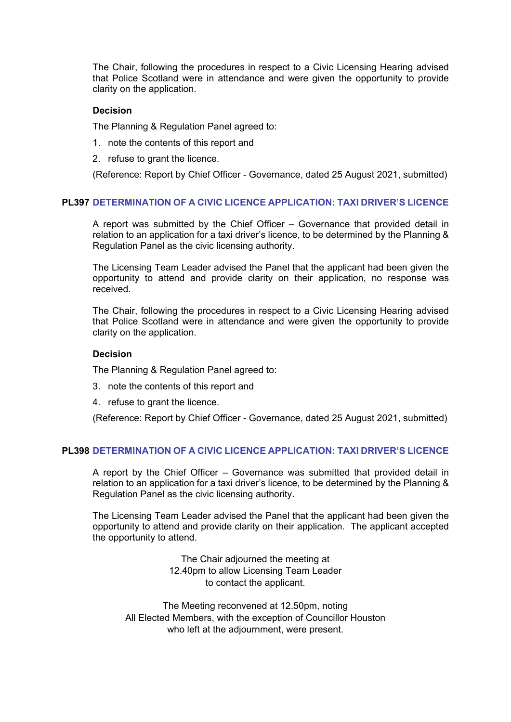The Chair, following the procedures in respect to a Civic Licensing Hearing advised that Police Scotland were in attendance and were given the opportunity to provide clarity on the application.

#### **Decision**

The Planning & Regulation Panel agreed to:

- 1. note the contents of this report and
- 2. refuse to grant the licence.

(Reference: Report by Chief Officer - Governance, dated 25 August 2021, submitted)

# **[PL397 DETERMINATION OF A CIVIC LICENCE APPLICATION:](/forms/request.htm) TAXI DRIVER'S LICENCE**

A report was submitted by the Chief Officer – Governance that provided detail in relation to an application for a taxi driver's licence, to be determined by the Planning & Regulation Panel as the civic licensing authority.

The Licensing Team Leader advised the Panel that the applicant had been given the opportunity to attend and provide clarity on their application, no response was received.

The Chair, following the procedures in respect to a Civic Licensing Hearing advised that Police Scotland were in attendance and were given the opportunity to provide clarity on the application.

### **Decision**

The Planning & Regulation Panel agreed to:

- 3. note the contents of this report and
- 4. refuse to grant the licence.

(Reference: Report by Chief Officer - Governance, dated 25 August 2021, submitted)

# **PL398 DETERMINATION OF A CIVIC LICENCE APPLICATION: TAXI DRIVER'S LICENCE**

[A report by the Chief Officer – Governance was submitted that provided detail in](/forms/request.htm)  relation to an application for a taxi driver's licence, to be determined by the Planning & Regulation Panel as the civic licensing authority.

The Licensing Team Leader advised the Panel that the applicant had been given the opportunity to attend and provide clarity on their application. The applicant accepted the opportunity to attend.

> The Chair adjourned the meeting at 12.40pm to allow Licensing Team Leader to contact the applicant.

The Meeting reconvened at 12.50pm, noting All Elected Members, with the exception of Councillor Houston who left at the adjournment, were present.